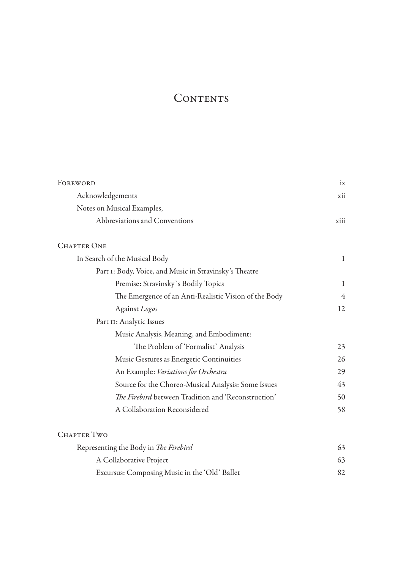## CONTENTS

| FOREWORD                                               | ix           |
|--------------------------------------------------------|--------------|
| Acknowledgements                                       | xii          |
| Notes on Musical Examples,                             |              |
| Abbreviations and Conventions                          | xiii         |
| <b>CHAPTER ONE</b>                                     |              |
| In Search of the Musical Body                          | $\mathbf{1}$ |
| Part I: Body, Voice, and Music in Stravinsky's Theatre |              |
| Premise: Stravinsky's Bodily Topics                    | 1            |
| The Emergence of an Anti-Realistic Vision of the Body  | 4            |
| Against Logos                                          | 12           |
| Part II: Analytic Issues                               |              |
| Music Analysis, Meaning, and Embodiment:               |              |
| The Problem of 'Formalist' Analysis                    | 23           |
| Music Gestures as Energetic Continuities               | 26           |
| An Example: Variations for Orchestra                   | 29           |
| Source for the Choreo-Musical Analysis: Some Issues    | 43           |
| The Firebird between Tradition and 'Reconstruction'    | 50           |
| A Collaboration Reconsidered                           | 58           |
| <b>CHAPTER TWO</b>                                     |              |
| Representing the Body in The Firebird                  | 63           |
| A Collaborative Project                                | 63           |
| Excursus: Composing Music in the 'Old' Ballet          | 82           |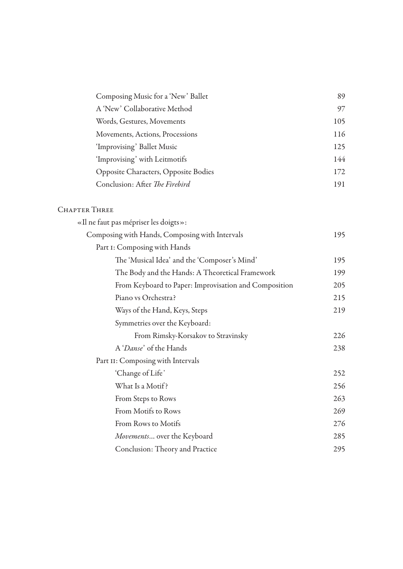| Composing Music for a 'New' Ballet          | 89  |
|---------------------------------------------|-----|
| A 'New' Collaborative Method                | 97  |
| Words, Gestures, Movements                  | 105 |
| Movements, Actions, Processions             | 116 |
| 'Improvising' Ballet Music                  | 125 |
| 'Improvising' with Leitmotifs               | 144 |
| <b>Opposite Characters, Opposite Bodies</b> | 172 |
| Conclusion: After The Firebird              | 191 |

## CHAPTER THREE

| «Il ne faut pas mépriser les doigts»:                 |     |  |
|-------------------------------------------------------|-----|--|
| Composing with Hands, Composing with Intervals        |     |  |
| Part I: Composing with Hands                          |     |  |
| The 'Musical Idea' and the 'Composer's Mind'          | 195 |  |
| The Body and the Hands: A Theoretical Framework       |     |  |
| From Keyboard to Paper: Improvisation and Composition | 205 |  |
| Piano vs Orchestra?                                   | 215 |  |
| Ways of the Hand, Keys, Steps                         | 219 |  |
| Symmetries over the Keyboard:                         |     |  |
| From Rimsky-Korsakov to Stravinsky                    | 226 |  |
| A 'Danse' of the Hands                                | 238 |  |
| Part II: Composing with Intervals                     |     |  |
| 'Change of Life'                                      | 252 |  |
| What Is a Motif?                                      | 256 |  |
| From Steps to Rows                                    | 263 |  |
| From Motifs to Rows                                   | 269 |  |
| From Rows to Motifs                                   | 276 |  |
| Movements over the Keyboard                           | 285 |  |
| Conclusion: Theory and Practice                       | 295 |  |
|                                                       |     |  |